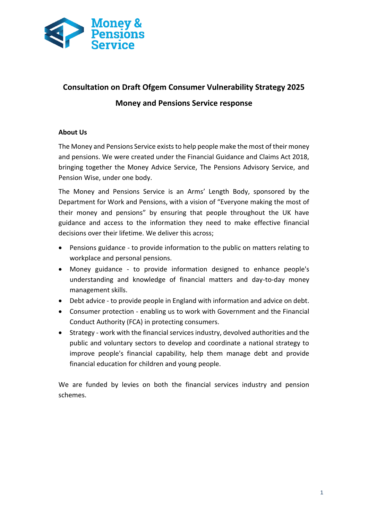

# **Consultation on Draft Ofgem Consumer Vulnerability Strategy 2025 Money and Pensions Service response**

# **About Us**

The Money and Pensions Service exists to help people make the most of their money and pensions. We were created under the Financial Guidance and Claims Act 2018, bringing together the Money Advice Service, The Pensions Advisory Service, and Pension Wise, under one body.

The Money and Pensions Service is an Arms' Length Body, sponsored by the Department for Work and Pensions, with a vision of "Everyone making the most of their money and pensions" by ensuring that people throughout the UK have guidance and access to the information they need to make effective financial decisions over their lifetime. We deliver this across;

- Pensions guidance to provide information to the public on matters relating to workplace and personal pensions.
- Money guidance to provide information designed to enhance people's understanding and knowledge of financial matters and day-to-day money management skills.
- Debt advice to provide people in England with information and advice on debt.
- Consumer protection enabling us to work with Government and the Financial Conduct Authority (FCA) in protecting consumers.
- Strategy work with the financial services industry, devolved authorities and the public and voluntary sectors to develop and coordinate a national strategy to improve people's financial capability, help them manage debt and provide financial education for children and young people.

We are funded by levies on both the financial services industry and pension schemes.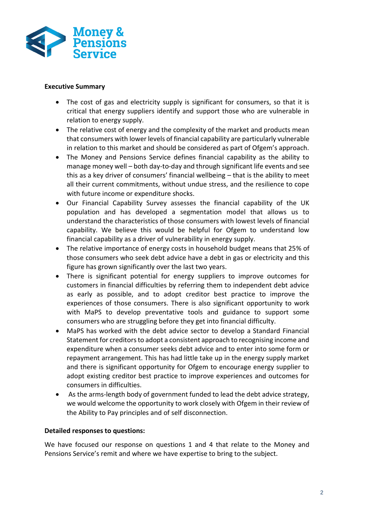

## **Executive Summary**

- The cost of gas and electricity supply is significant for consumers, so that it is critical that energy suppliers identify and support those who are vulnerable in relation to energy supply.
- The relative cost of energy and the complexity of the market and products mean that consumers with lower levels of financial capability are particularly vulnerable in relation to this market and should be considered as part of Ofgem's approach.
- The Money and Pensions Service defines financial capability as the ability to manage money well – both day-to-day and through significant life events and see this as a key driver of consumers' financial wellbeing – that is the ability to meet all their current commitments, without undue stress, and the resilience to cope with future income or expenditure shocks.
- Our Financial Capability Survey assesses the financial capability of the UK population and has developed a segmentation model that allows us to understand the characteristics of those consumers with lowest levels of financial capability. We believe this would be helpful for Ofgem to understand low financial capability as a driver of vulnerability in energy supply.
- The relative importance of energy costs in household budget means that 25% of those consumers who seek debt advice have a debt in gas or electricity and this figure has grown significantly over the last two years.
- There is significant potential for energy suppliers to improve outcomes for customers in financial difficulties by referring them to independent debt advice as early as possible, and to adopt creditor best practice to improve the experiences of those consumers. There is also significant opportunity to work with MaPS to develop preventative tools and guidance to support some consumers who are struggling before they get into financial difficulty.
- MaPS has worked with the debt advice sector to develop a Standard Financial Statement for creditors to adopt a consistent approach to recognising income and expenditure when a consumer seeks debt advice and to enter into some form or repayment arrangement. This has had little take up in the energy supply market and there is significant opportunity for Ofgem to encourage energy supplier to adopt existing creditor best practice to improve experiences and outcomes for consumers in difficulties.
- As the arms-length body of government funded to lead the debt advice strategy, we would welcome the opportunity to work closely with Ofgem in their review of the Ability to Pay principles and of self disconnection.

## **Detailed responses to questions:**

We have focused our response on questions 1 and 4 that relate to the Money and Pensions Service's remit and where we have expertise to bring to the subject.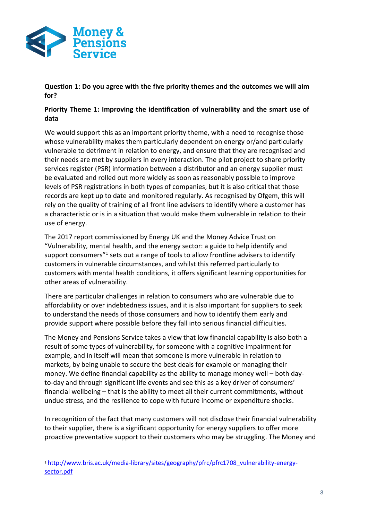

**.** 

**Question 1: Do you agree with the five priority themes and the outcomes we will aim for?**

# **Priority Theme 1: Improving the identification of vulnerability and the smart use of data**

We would support this as an important priority theme, with a need to recognise those whose vulnerability makes them particularly dependent on energy or/and particularly vulnerable to detriment in relation to energy, and ensure that they are recognised and their needs are met by suppliers in every interaction. The pilot project to share priority services register (PSR) information between a distributor and an energy supplier must be evaluated and rolled out more widely as soon as reasonably possible to improve levels of PSR registrations in both types of companies, but it is also critical that those records are kept up to date and monitored regularly. As recognised by Ofgem, this will rely on the quality of training of all front line advisers to identify where a customer has a characteristic or is in a situation that would make them vulnerable in relation to their use of energy.

The 2017 report commissioned by Energy UK and the Money Advice Trust on "Vulnerability, mental health, and the energy sector: a guide to help identify and support consumers<sup>"1</sup> sets out a range of tools to allow frontline advisers to identify customers in vulnerable circumstances, and whilst this referred particularly to customers with mental health conditions, it offers significant learning opportunities for other areas of vulnerability.

There are particular challenges in relation to consumers who are vulnerable due to affordability or over indebtedness issues, and it is also important for suppliers to seek to understand the needs of those consumers and how to identify them early and provide support where possible before they fall into serious financial difficulties.

The Money and Pensions Service takes a view that low financial capability is also both a result of some types of vulnerability, for someone with a cognitive impairment for example, and in itself will mean that someone is more vulnerable in relation to markets, by being unable to secure the best deals for example or managing their money. We define financial capability as the ability to manage money well – both dayto-day and through significant life events and see this as a key driver of consumers' financial wellbeing – that is the ability to meet all their current commitments, without undue stress, and the resilience to cope with future income or expenditure shocks.

In recognition of the fact that many customers will not disclose their financial vulnerability to their supplier, there is a significant opportunity for energy suppliers to offer more proactive preventative support to their customers who may be struggling. The Money and

<sup>1</sup> [http://www.bris.ac.uk/media-library/sites/geography/pfrc/pfrc1708\\_vulnerability-energy](http://www.bris.ac.uk/media-library/sites/geography/pfrc/pfrc1708_vulnerability-energy-sector.pdf)[sector.pdf](http://www.bris.ac.uk/media-library/sites/geography/pfrc/pfrc1708_vulnerability-energy-sector.pdf)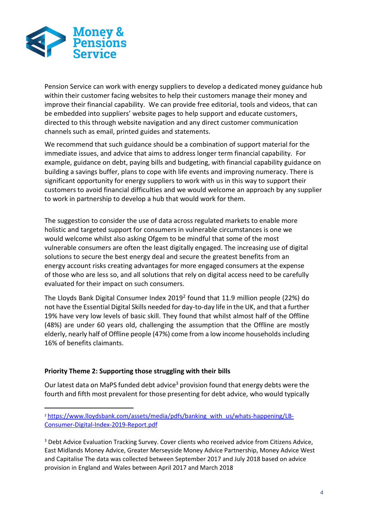

Pension Service can work with energy suppliers to develop a dedicated money guidance hub within their customer facing websites to help their customers manage their money and improve their financial capability. We can provide free editorial, tools and videos, that can be embedded into suppliers' website pages to help support and educate customers, directed to this through website navigation and any direct customer communication channels such as email, printed guides and statements.

We recommend that such guidance should be a combination of support material for the immediate issues, and advice that aims to address longer term financial capability. For example, guidance on debt, paying bills and budgeting, with financial capability guidance on building a savings buffer, plans to cope with life events and improving numeracy. There is significant opportunity for energy suppliers to work with us in this way to support their customers to avoid financial difficulties and we would welcome an approach by any supplier to work in partnership to develop a hub that would work for them.

The suggestion to consider the use of data across regulated markets to enable more holistic and targeted support for consumers in vulnerable circumstances is one we would welcome whilst also asking Ofgem to be mindful that some of the most vulnerable consumers are often the least digitally engaged. The increasing use of digital solutions to secure the best energy deal and secure the greatest benefits from an energy account risks creating advantages for more engaged consumers at the expense of those who are less so, and all solutions that rely on digital access need to be carefully evaluated for their impact on such consumers.

The Lloyds Bank Digital Consumer Index 2019<sup>2</sup> found that 11.9 million people (22%) do not have the Essential Digital Skills needed for day-to-day life in the UK, and that a further 19% have very low levels of basic skill. They found that whilst almost half of the Offline (48%) are under 60 years old, challenging the assumption that the Offline are mostly elderly, nearly half of Offline people (47%) come from a low income householdsincluding 16% of benefits claimants.

## **Priority Theme 2: Supporting those struggling with their bills**

-

Our latest data on MaPS funded debt advice<sup>3</sup> provision found that energy debts were the fourth and fifth most prevalent for those presenting for debt advice, who would typically

<sup>&</sup>lt;sup>2</sup> [https://www.lloydsbank.com/assets/media/pdfs/banking\\_with\\_us/whats-happening/LB-](https://www.lloydsbank.com/assets/media/pdfs/banking_with_us/whats-happening/LB-Consumer-Digital-Index-2019-Report.pdf)[Consumer-Digital-Index-2019-Report.pdf](https://www.lloydsbank.com/assets/media/pdfs/banking_with_us/whats-happening/LB-Consumer-Digital-Index-2019-Report.pdf)

<sup>&</sup>lt;sup>3</sup> Debt Advice Evaluation Tracking Survey. Cover clients who received advice from Citizens Advice, East Midlands Money Advice, Greater Merseyside Money Advice Partnership, Money Advice West and Capitalise The data was collected between September 2017 and July 2018 based on advice provision in England and Wales between April 2017 and March 2018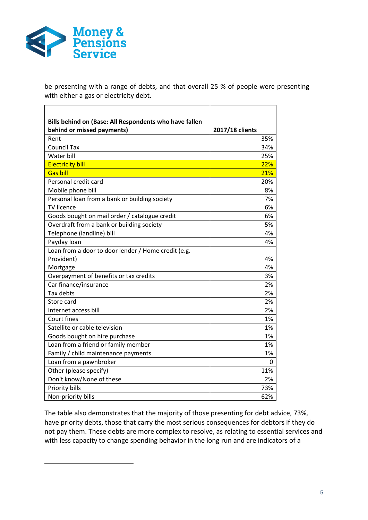

-

be presenting with a range of debts, and that overall 25 % of people were presenting with either a gas or electricity debt.

| Bills behind on (Base: All Respondents who have fallen |                 |
|--------------------------------------------------------|-----------------|
| behind or missed payments)                             | 2017/18 clients |
| Rent                                                   | 35%             |
| <b>Council Tax</b>                                     | 34%             |
| Water bill                                             | 25%             |
| <b>Electricity bill</b>                                | 22%             |
| <b>Gas bill</b>                                        | 21%             |
| Personal credit card                                   | 20%             |
| Mobile phone bill                                      | 8%              |
| Personal loan from a bank or building society          | 7%              |
| <b>TV licence</b>                                      | 6%              |
| Goods bought on mail order / catalogue credit          | 6%              |
| Overdraft from a bank or building society              | 5%              |
| Telephone (landline) bill                              | 4%              |
| Payday loan                                            | 4%              |
| Loan from a door to door lender / Home credit (e.g.    |                 |
| Provident)                                             | 4%              |
| Mortgage                                               | 4%              |
| Overpayment of benefits or tax credits                 | 3%              |
| Car finance/insurance                                  | 2%              |
| Tax debts                                              | 2%              |
| Store card                                             | 2%              |
| Internet access bill                                   | 2%              |
| Court fines                                            | 1%              |
| Satellite or cable television                          | 1%              |
| Goods bought on hire purchase                          | 1%              |
| Loan from a friend or family member                    | 1%              |
| Family / child maintenance payments                    | 1%              |
| Loan from a pawnbroker                                 | 0               |
| Other (please specify)                                 | 11%             |
| Don't know/None of these                               | 2%              |
| Priority bills                                         | 73%             |
| Non-priority bills                                     | 62%             |

The table also demonstrates that the majority of those presenting for debt advice, 73%, have priority debts, those that carry the most serious consequences for debtors if they do not pay them. These debts are more complex to resolve, as relating to essential services and with less capacity to change spending behavior in the long run and are indicators of a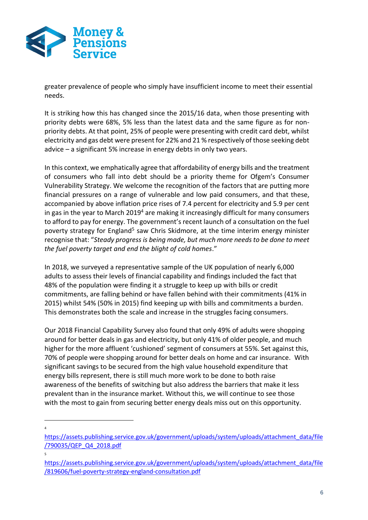

greater prevalence of people who simply have insufficient income to meet their essential needs.

It is striking how this has changed since the 2015/16 data, when those presenting with priority debts were 68%, 5% less than the latest data and the same figure as for nonpriority debts. At that point, 25% of people were presenting with credit card debt, whilst electricity and gas debt were present for 22% and 21 % respectively of those seeking debt advice – a significant 5% increase in energy debts in only two years.

In this context, we emphatically agree that affordability of energy bills and the treatment of consumers who fall into debt should be a priority theme for Ofgem's Consumer Vulnerability Strategy. We welcome the recognition of the factors that are putting more financial pressures on a range of vulnerable and low paid consumers, and that these, accompanied by above inflation price rises of 7.4 percent for electricity and 5.9 per cent in gas in the year to March  $2019<sup>4</sup>$  are making it increasingly difficult for many consumers to afford to pay for energy. The government's recent launch of a consultation on the fuel poverty strategy for England<sup>5</sup> saw Chris Skidmore, at the time interim energy minister recognise that: "*Steady progress is being made, but much more needs to be done to meet the fuel poverty target and end the blight of cold homes*."

In 2018, we surveyed a representative sample of the UK population of nearly 6,000 adults to assess their levels of financial capability and findings included the fact that 48% of the population were finding it a struggle to keep up with bills or credit commitments, are falling behind or have fallen behind with their commitments (41% in 2015) whilst 54% (50% in 2015) find keeping up with bills and commitments a burden. This demonstrates both the scale and increase in the struggles facing consumers.

Our 2018 Financial Capability Survey also found that only 49% of adults were shopping around for better deals in gas and electricity, but only 41% of older people, and much higher for the more affluent 'cushioned' segment of consumers at 55%. Set against this, 70% of people were shopping around for better deals on home and car insurance. With significant savings to be secured from the high value household expenditure that energy bills represent, there is still much more work to be done to both raise awareness of the benefits of switching but also address the barriers that make it less prevalent than in the insurance market. Without this, we will continue to see those with the most to gain from securing better energy deals miss out on this opportunity.

**.** 4

[https://assets.publishing.service.gov.uk/government/uploads/system/uploads/attachment\\_data/file](https://assets.publishing.service.gov.uk/government/uploads/system/uploads/attachment_data/file/790035/QEP_Q4_2018.pdf) [/790035/QEP\\_Q4\\_2018.pdf](https://assets.publishing.service.gov.uk/government/uploads/system/uploads/attachment_data/file/790035/QEP_Q4_2018.pdf)

<sup>5</sup>

[https://assets.publishing.service.gov.uk/government/uploads/system/uploads/attachment\\_data/file](https://assets.publishing.service.gov.uk/government/uploads/system/uploads/attachment_data/file/819606/fuel-poverty-strategy-england-consultation.pdf) [/819606/fuel-poverty-strategy-england-consultation.pdf](https://assets.publishing.service.gov.uk/government/uploads/system/uploads/attachment_data/file/819606/fuel-poverty-strategy-england-consultation.pdf)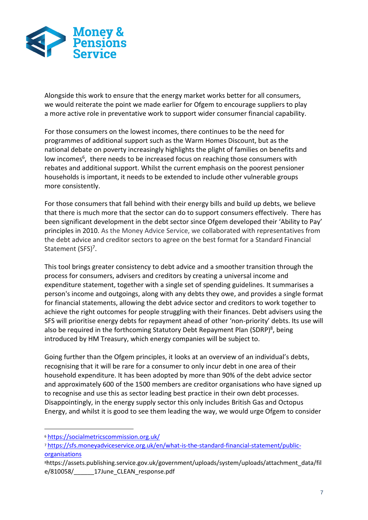

Alongside this work to ensure that the energy market works better for all consumers, we would reiterate the point we made earlier for Ofgem to encourage suppliers to play a more active role in preventative work to support wider consumer financial capability.

For those consumers on the lowest incomes, there continues to be the need for programmes of additional support such as the Warm Homes Discount, but as the national debate on poverty increasingly highlights the plight of families on benefits and low incomes<sup>6</sup>, there needs to be increased focus on reaching those consumers with rebates and additional support. Whilst the current emphasis on the poorest pensioner households is important, it needs to be extended to include other vulnerable groups more consistently.

For those consumers that fall behind with their energy bills and build up debts, we believe that there is much more that the sector can do to support consumers effectively. There has been significant development in the debt sector since Ofgem developed their 'Ability to Pay' principles in 2010. As the Money Advice Service, we collaborated with representatives from the debt advice and creditor sectors to agree on the best format for a Standard Financial Statement (SFS)<sup>7</sup>.

This tool brings greater consistency to debt advice and a smoother transition through the process for consumers, advisers and creditors by creating a universal income and expenditure statement, together with a single set of spending guidelines. It summarises a person's income and outgoings, along with any debts they owe, and provides a single format for financial statements, allowing the debt advice sector and creditors to work together to achieve the right outcomes for people struggling with their finances. Debt advisers using the SFS will prioritise energy debts for repayment ahead of other 'non-priority' debts. Its use will also be required in the forthcoming Statutory Debt Repayment Plan (SDRP)<sup>8</sup>, being introduced by HM Treasury, which energy companies will be subject to.

Going further than the Ofgem principles, it looks at an overview of an individual's debts, recognising that it will be rare for a consumer to only incur debt in one area of their household expenditure. It has been adopted by more than 90% of the debt advice sector and approximately 600 of the 1500 members are creditor organisations who have signed up to recognise and use this as sector leading best practice in their own debt processes. Disappointingly, in the energy supply sector this only includes British Gas and Octopus Energy, and whilst it is good to see them leading the way, we would urge Ofgem to consider

1

<sup>6</sup> <https://socialmetricscommission.org.uk/>

<sup>7</sup> [https://sfs.moneyadviceservice.org.uk/en/what-is-the-standard-financial-statement/public](https://sfs.moneyadviceservice.org.uk/en/what-is-the-standard-financial-statement/public-organisations)**[organisations](https://sfs.moneyadviceservice.org.uk/en/what-is-the-standard-financial-statement/public-organisations)** 

<sup>8</sup>https://assets.publishing.service.gov.uk/government/uploads/system/uploads/attachment\_data/fil e/810058/\_\_\_\_\_\_17June\_CLEAN\_response.pdf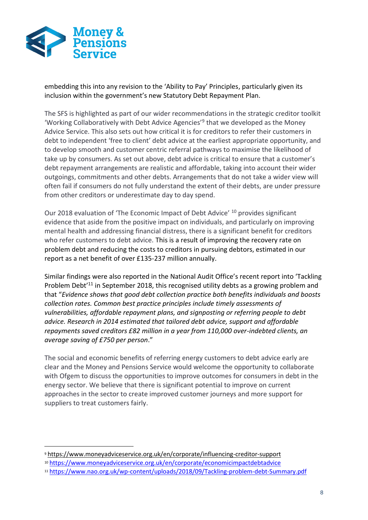

**.** 

embedding this into any revision to the 'Ability to Pay' Principles, particularly given its inclusion within the government's new Statutory Debt Repayment Plan.

The SFS is highlighted as part of our wider recommendations in the strategic creditor toolkit 'Working Collaboratively with Debt Advice Agencies'<sup>9</sup> that we developed as the Money Advice Service. This also sets out how critical it is for creditors to refer their customers in debt to independent 'free to client' debt advice at the earliest appropriate opportunity, and to develop smooth and customer centric referral pathways to maximise the likelihood of take up by consumers. As set out above, debt advice is critical to ensure that a customer's debt repayment arrangements are realistic and affordable, taking into account their wider outgoings, commitments and other debts. Arrangements that do not take a wider view will often fail if consumers do not fully understand the extent of their debts, are under pressure from other creditors or underestimate day to day spend.

Our 2018 evaluation of 'The Economic Impact of Debt Advice' <sup>10</sup> provides significant evidence that aside from the positive impact on individuals, and particularly on improving mental health and addressing financial distress, there is a significant benefit for creditors who refer customers to debt advice. This is a result of improving the recovery rate on problem debt and reducing the costs to creditors in pursuing debtors, estimated in our report as a net benefit of over £135-237 million annually.

Similar findings were also reported in the National Audit Office's recent report into 'Tackling Problem Debt<sup>'11</sup> in September 2018, this recognised utility debts as a growing problem and that "*Evidence shows that good debt collection practice both benefits individuals and boosts collection rates. Common best practice principles include timely assessments of vulnerabilities, affordable repayment plans, and signposting or referring people to debt advice. Research in 2014 estimated that tailored debt advice, support and affordable repayments saved creditors £82 million in a year from 110,000 over-indebted clients, an average saving of £750 per person*."

The social and economic benefits of referring energy customers to debt advice early are clear and the Money and Pensions Service would welcome the opportunity to collaborate with Ofgem to discuss the opportunities to improve outcomes for consumers in debt in the energy sector. We believe that there is significant potential to improve on current approaches in the sector to create improved customer journeys and more support for suppliers to treat customers fairly.

<sup>9</sup> <https://www.moneyadviceservice.org.uk/en/corporate/influencing-creditor-support>

<sup>10</sup> <https://www.moneyadviceservice.org.uk/en/corporate/economicimpactdebtadvice>

<sup>11</sup> <https://www.nao.org.uk/wp-content/uploads/2018/09/Tackling-problem-debt-Summary.pdf>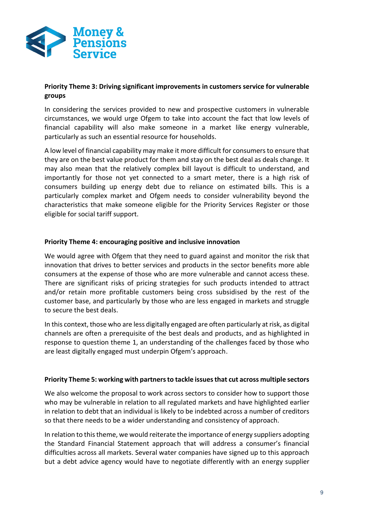

## **Priority Theme 3: Driving significant improvements in customers service for vulnerable groups**

In considering the services provided to new and prospective customers in vulnerable circumstances, we would urge Ofgem to take into account the fact that low levels of financial capability will also make someone in a market like energy vulnerable, particularly as such an essential resource for households.

A low level of financial capability may make it more difficult for consumers to ensure that they are on the best value product for them and stay on the best deal as deals change. It may also mean that the relatively complex bill layout is difficult to understand, and importantly for those not yet connected to a smart meter, there is a high risk of consumers building up energy debt due to reliance on estimated bills. This is a particularly complex market and Ofgem needs to consider vulnerability beyond the characteristics that make someone eligible for the Priority Services Register or those eligible for social tariff support.

## **Priority Theme 4: encouraging positive and inclusive innovation**

We would agree with Ofgem that they need to guard against and monitor the risk that innovation that drives to better services and products in the sector benefits more able consumers at the expense of those who are more vulnerable and cannot access these. There are significant risks of pricing strategies for such products intended to attract and/or retain more profitable customers being cross subsidised by the rest of the customer base, and particularly by those who are less engaged in markets and struggle to secure the best deals.

In this context, those who are less digitally engaged are often particularly at risk, as digital channels are often a prerequisite of the best deals and products, and as highlighted in response to question theme 1, an understanding of the challenges faced by those who are least digitally engaged must underpin Ofgem's approach.

## **Priority Theme 5: working with partners to tackle issues that cut across multiple sectors**

We also welcome the proposal to work across sectors to consider how to support those who may be vulnerable in relation to all regulated markets and have highlighted earlier in relation to debt that an individual is likely to be indebted across a number of creditors so that there needs to be a wider understanding and consistency of approach.

In relation to this theme, we would reiterate the importance of energy suppliers adopting the Standard Financial Statement approach that will address a consumer's financial difficulties across all markets. Several water companies have signed up to this approach but a debt advice agency would have to negotiate differently with an energy supplier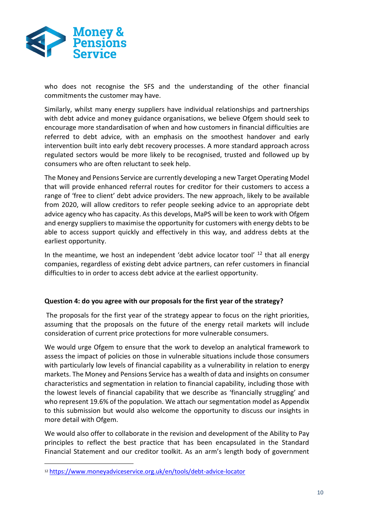

who does not recognise the SFS and the understanding of the other financial commitments the customer may have.

Similarly, whilst many energy suppliers have individual relationships and partnerships with debt advice and money guidance organisations, we believe Ofgem should seek to encourage more standardisation of when and how customers in financial difficulties are referred to debt advice, with an emphasis on the smoothest handover and early intervention built into early debt recovery processes. A more standard approach across regulated sectors would be more likely to be recognised, trusted and followed up by consumers who are often reluctant to seek help.

The Money and Pensions Service are currently developing a new Target Operating Model that will provide enhanced referral routes for creditor for their customers to access a range of 'free to client' debt advice providers. The new approach, likely to be available from 2020, will allow creditors to refer people seeking advice to an appropriate debt advice agency who has capacity. As this develops, MaPS will be keen to work with Ofgem and energy suppliers to maximise the opportunity for customers with energy debts to be able to access support quickly and effectively in this way, and address debts at the earliest opportunity.

In the meantime, we host an independent 'debt advice locator tool'  $12$  that all energy companies, regardless of existing debt advice partners, can refer customers in financial difficulties to in order to access debt advice at the earliest opportunity.

## **Question 4: do you agree with our proposals for the first year of the strategy?**

The proposals for the first year of the strategy appear to focus on the right priorities, assuming that the proposals on the future of the energy retail markets will include consideration of current price protections for more vulnerable consumers.

We would urge Ofgem to ensure that the work to develop an analytical framework to assess the impact of policies on those in vulnerable situations include those consumers with particularly low levels of financial capability as a vulnerability in relation to energy markets. The Money and Pensions Service has a wealth of data and insights on consumer characteristics and segmentation in relation to financial capability, including those with the lowest levels of financial capability that we describe as 'financially struggling' and who represent 19.6% of the population. We attach our segmentation model as Appendix to this submission but would also welcome the opportunity to discuss our insights in more detail with Ofgem.

We would also offer to collaborate in the revision and development of the Ability to Pay principles to reflect the best practice that has been encapsulated in the Standard Financial Statement and our creditor toolkit. As an arm's length body of government

-

<sup>12</sup> <https://www.moneyadviceservice.org.uk/en/tools/debt-advice-locator>